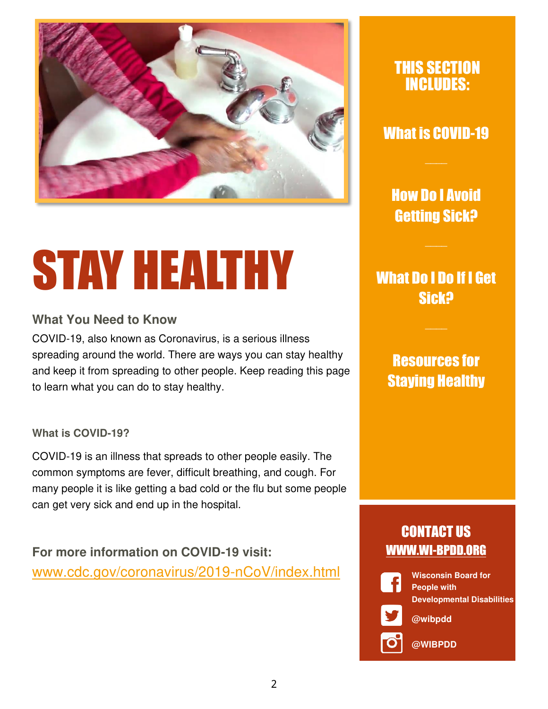

# STAY HEALTHY

#### **What You Need to Know**

COVID-19, also known as Coronavirus, is a serious illness spreading around the world. There are ways you can stay healthy and keep it from spreading to other people. Keep reading this page to learn what you can do to stay healthy.

#### **What is COVID-19?**

COVID-19 is an illness that spreads to other people easily. The common symptoms are fever, difficult breathing, and cough. For many people it is like getting a bad cold or the flu but some people can get very sick and end up in the hospital.

**For more information on COVID-19 visit:** [www.cdc.gov/coronavirus/2019-nCoV/index.html](http://www.cdc.gov/coronavirus/2019-nCoV/index.html) 

#### THIS SECTION INCLUDES:

#### What is COVID-19

How Do I Avoid Getting Sick?

What Do I Do If I Get Sick?

### Resources for Staying Healthy

### CONTACT US WWW.WI-BPDD.ORG



**Wisconsin Board for People with Developmental Disabilities** 

**@wibpdd** 

**@WIBPDD**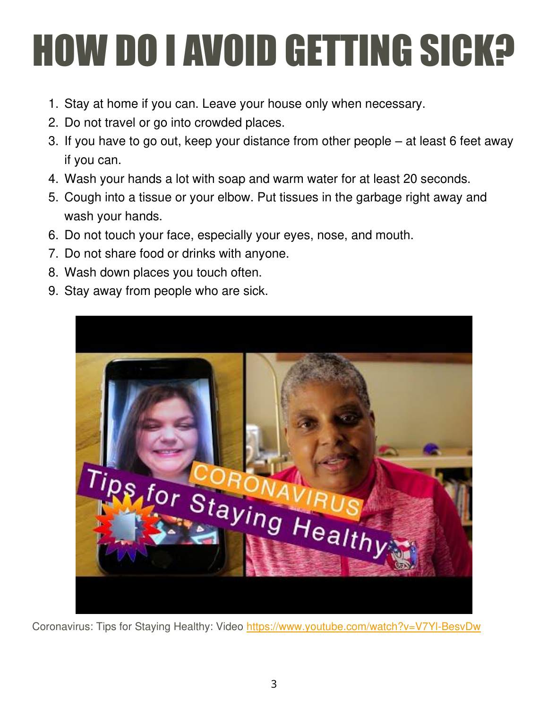## **HOW DO I AVOID GETTING SICK?**

- 1. Stay at home if you can. Leave your house only when necessary.
- 2. Do not travel or go into crowded places.
- 3. If you have to go out, keep your distance from other people at least 6 feet away if you can.
- 4. Wash your hands a lot with soap and warm water for at least 20 seconds.
- 5. Cough into a tissue or your elbow. Put tissues in the garbage right away and wash your hands.
- 6. Do not touch your face, especially your eyes, nose, and mouth.
- 7. Do not share food or drinks with anyone.
- 8. Wash down places you touch often.
- 9. Stay away from people who are sick.



Coronavirus: Tips for Staying Healthy: Video<https://www.youtube.com/watch?v=V7Yl-BesvDw>